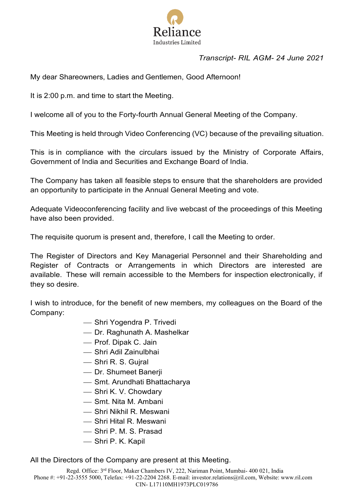

# *Transcript- RIL AGM- 24 June 2021*

My dear Shareowners, Ladies and Gentlemen, Good Afternoon!

It is 2:00 p.m. and time to start the Meeting.

I welcome all of you to the Forty-fourth Annual General Meeting of the Company.

This Meeting is held through Video Conferencing (VC) because of the prevailing situation.

This is in compliance with the circulars issued by the Ministry of Corporate Affairs, Government of India and Securities and Exchange Board of India.

The Company has taken all feasible steps to ensure that the shareholders are provided an opportunity to participate in the Annual General Meeting and vote.

Adequate Videoconferencing facility and live webcast of the proceedings of this Meeting have also been provided.

The requisite quorum is present and, therefore, I call the Meeting to order.

The Register of Directors and Key Managerial Personnel and their Shareholding and Register of Contracts or Arrangements in which Directors are interested are available. These will remain accessible to the Members for inspection electronically, if they so desire.

I wish to introduce, for the benefit of new members, my colleagues on the Board of the Company:

- Shri Yogendra P. Trivedi
- Dr. Raghunath A. Mashelkar
- Prof. Dipak C. Jain
- Shri Adil Zainulbhai
- Shri R. S. Gujral
- Dr. Shumeet Banerji
- Smt. Arundhati Bhattacharya
- Shri K. V. Chowdary
- Smt. Nita M. Ambani
- Shri Nikhil R. Meswani
- Shri Hital R. Meswani
- Shri P. M. S. Prasad
- Shri P. K. Kapil

All the Directors of the Company are present at this Meeting.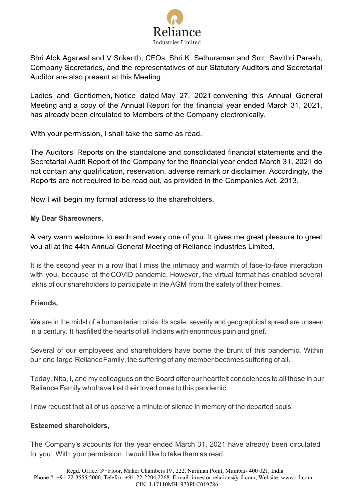

Shri Alok Agarwal and V Srikanth, CFOs, Shri K. Sethuraman and Smt. Savithri Parekh, Company Secretaries, and the representatives of our Statutory Auditors and Secretarial Auditor are also present at this Meeting.

Ladies and Gentlemen, Notice dated May 27, 2021 convening this Annual General Meeting and a copy of the Annual Report for the financial year ended March 31, 2021, has already been circulated to Members of the Company electronically.

With your permission, I shall take the same as read.

The Auditors' Reports on the standalone and consolidated financial statements and the Secretarial Audit Report of the Company for the financial year ended March 31, 2021 do not contain any qualification, reservation, adverse remark or disclaimer. Accordingly, the Reports are not required to be read out, as provided in the Companies Act, 2013.

Now I will begin my formal address to the shareholders.

**My Dear Shareowners,**

A very warm welcome to each and every one of you. It gives me great pleasure to greet you all at the 44th Annual General Meeting of Reliance Industries Limited.

It is the second year in a row that I miss the intimacy and warmth of face-to-face interaction with you, because of theCOVID pandemic. However, the virtual format has enabled several lakhs of our shareholders to participate in the AGM from the safety of their homes.

# **Friends,**

We are in the midst of a humanitarian crisis. Its scale, severity and geographical spread are unseen in a century. It hasfilled the hearts of all Indians with enormous pain and grief.

Several of our employees and shareholders have borne the brunt of this pandemic. Within our one large RelianceFamily, the suffering of any member becomes suffering of all.

Today, Nita, I, and my colleagues on the Board offer our heartfelt condolences to all those in our Reliance Family whohave lost their loved ones to this pandemic.

I now request that all of us observe a minute of silence in memory of the departed souls.

# **Esteemed shareholders,**

The Company's accounts for the year ended March 31, 2021 have already been circulated to you. With yourpermission, I would like to take them as read.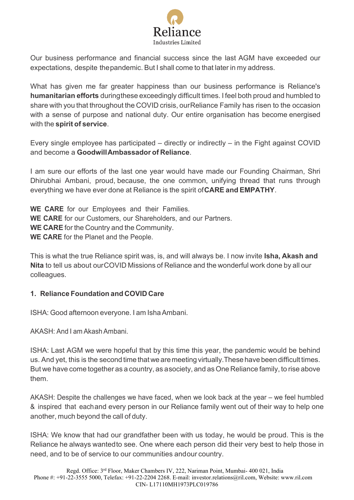

Our business performance and financial success since the last AGM have exceeded our expectations, despite thepandemic. But I shall come to that later in my address.

What has given me far greater happiness than our business performance is Reliance's **humanitarian efforts** duringthese exceedingly difficult times. I feel both proud and humbled to share with you that throughout the COVID crisis, ourReliance Family has risen to the occasion with a sense of purpose and national duty. Our entire organisation has become energised with the **spirit of service**.

Every single employee has participated – directly or indirectly – in the Fight against COVID and become a **GoodwillAmbassador of Reliance**.

I am sure our efforts of the last one year would have made our Founding Chairman, Shri Dhirubhai Ambani, proud, because, the one common, unifying thread that runs through everything we have ever done at Reliance is the spirit of**CARE and EMPATHY**.

**WE CARE** for our Employees and their Families. **WE CARE** for our Customers, our Shareholders, and our Partners. **WE CARE** for the Country and the Community. **WE CARE** for the Planet and the People.

This is what the true Reliance spirit was, is, and will always be. I now invite **Isha, Akash and Nita** to tell us about ourCOVID Missions of Reliance and the wonderful work done by all our colleagues.

# **1. Reliance Foundation and COVID Care**

ISHA: Good afternoon everyone. I am IshaAmbani.

AKASH: And I am AkashAmbani.

ISHA: Last AGM we were hopeful that by this time this year, the pandemic would be behind us. And yet, this is the second time thatwe aremeeting virtually.These have been difficult times. But we have come together as a country, as asociety, and as One Reliance family, to rise above them.

AKASH: Despite the challenges we have faced, when we look back at the year – we feel humbled & inspired that eachand every person in our Reliance family went out of their way to help one another, much beyond the call of duty.

ISHA: We know that had our grandfather been with us today, he would be proud. This is the Reliance he always wantedto see. One where each person did their very best to help those in need, and to be of service to our communities andour country.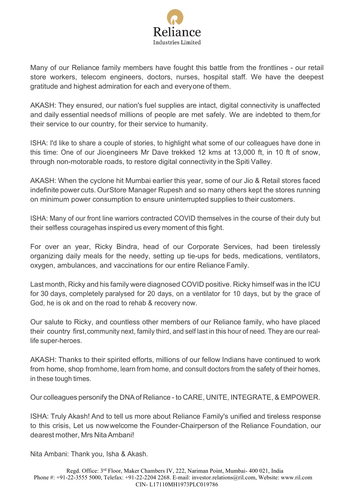

Many of our Reliance family members have fought this battle from the frontlines - our retail store workers, telecom engineers, doctors, nurses, hospital staff. We have the deepest gratitude and highest admiration for each and everyone of them.

AKASH: They ensured, our nation's fuel supplies are intact, digital connectivity is unaffected and daily essential needsof millions of people are met safely. We are indebted to them,for their service to our country, for their service to humanity.

ISHA: I'd like to share a couple of stories, to highlight what some of our colleagues have done in this time: One of our Jioengineers Mr Dave trekked 12 kms at 13,000 ft, in 10 ft of snow, through non-motorable roads, to restore digital connectivity in the Spiti Valley.

AKASH: When the cyclone hit Mumbai earlier this year, some of our Jio & Retail stores faced indefinite power cuts. OurStore Manager Rupesh and so many others kept the stores running on minimum power consumption to ensure uninterrupted supplies to their customers.

ISHA: Many of our front line warriors contracted COVID themselves in the course of their duty but their selfless couragehas inspired us every moment of this fight.

For over an year, Ricky Bindra, head of our Corporate Services, had been tirelessly organizing daily meals for the needy, setting up tie-ups for beds, medications, ventilators, oxygen, ambulances, and vaccinations for our entire Reliance Family.

Last month, Ricky and his family were diagnosed COVID positive. Ricky himself was in the ICU for 30 days, completely paralysed for 20 days, on a ventilator for 10 days, but by the grace of God, he is ok and on the road to rehab & recovery now.

Our salute to Ricky, and countless other members of our Reliance family, who have placed their country first,community next, family third, and self last in this hour of need. They are our reallife super-heroes.

AKASH: Thanks to their spirited efforts, millions of our fellow Indians have continued to work from home, shop fromhome, learn from home, and consult doctors from the safety of their homes, in these tough times.

Our colleagues personify the DNAof Reliance - to CARE, UNITE, INTEGRATE, & EMPOWER.

ISHA: Truly Akash! And to tell us more about Reliance Family's unified and tireless response to this crisis, Let us nowwelcome the Founder-Chairperson of the Reliance Foundation, our dearest mother, Mrs NitaAmbani!

Nita Ambani: Thank you, Isha & Akash.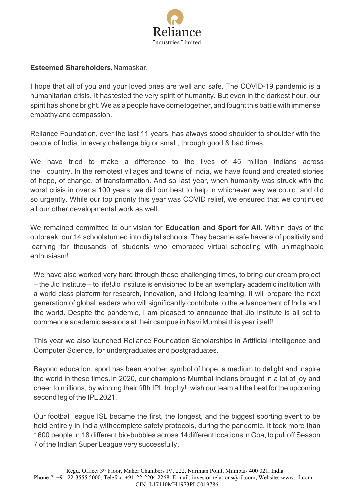

# **Esteemed Shareholders,**Namaskar.

I hope that all of you and your loved ones are well and safe. The COVID-19 pandemic is a humanitarian crisis. It hastested the very spirit of humanity. But even in the darkest hour, our spirit has shone bright. We as a people have cometogether, and fought this battle with immense empathy and compassion.

Reliance Foundation, over the last 11 years, has always stood shoulder to shoulder with the people of India, in every challenge big or small, through good & bad times.

We have tried to make a difference to the lives of 45 million Indians across the country. In the remotest villages and towns of India, we have found and created stories of hope, of change, of transformation. And so last year, when humanity was struck with the worst crisis in over a 100 years, we did our best to help in whichever way we could, and did so urgently. While our top priority this year was COVID relief, we ensured that we continued all our other developmental work as well.

We remained committed to our vision for **Education and Sport for All**. Within days of the outbreak, our 14 schoolsturned into digital schools. They became safe havens of positivity and learning for thousands of students who embraced virtual schooling with unimaginable enthusiasm!

We have also worked very hard through these challenging times, to bring our dream project – the Jio Institute – to life!Jio Institute is envisioned to be an exemplary academic institution with a world class platform for research, innovation, and lifelong learning. It will prepare the next generation of global leaders who will significantly contribute to the advancement of India and the world. Despite the pandemic, I am pleased to announce that Jio Institute is all set to commence academic sessions at their campus in Navi Mumbai this year itself!

This year we also launched Reliance Foundation Scholarships in Artificial Intelligence and Computer Science, for undergraduates and postgraduates.

Beyond education, sport has been another symbol of hope, a medium to delight and inspire the world in these times.In 2020, our champions Mumbai Indians brought in a lot of joy and cheer to millions, by winning their fifth IPL trophy!I wish our team all the best for the upcoming second leg of the IPL 2021.

Our football league ISL became the first, the longest, and the biggest sporting event to be held entirely in India withcomplete safety protocols, during the pandemic. It took more than 1600 people in 18 different bio-bubbles across 14different locations in Goa, to pull off Season 7 of the Indian Super League very successfully.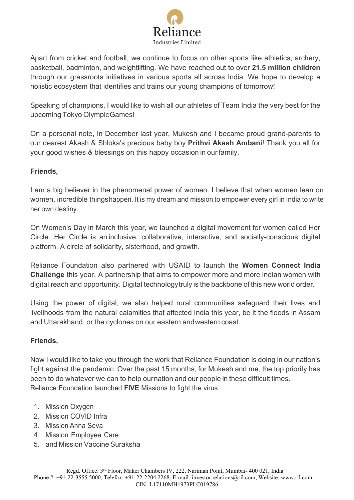

Apart from cricket and football, we continue to focus on other sports like athletics, archery, basketball, badminton, and weightlifting. We have reached out to over **21.5 million children** through our grassroots initiatives in various sports all across India. We hope to develop a holistic ecosystem that identifies and trains our young champions of tomorrow!

Speaking of champions, I would like to wish all our athletes of Team India the very best for the upcoming Tokyo OlympicGames!

On a personal note, in December last year, Mukesh and I became proud grand-parents to our dearest Akash & Shloka's precious baby boy **Prithvi Akash Ambani**! Thank you all for your good wishes & blessings on this happy occasion in our family.

# **Friends,**

I am a big believer in the phenomenal power of women. I believe that when women lean on women, incredible thingshappen. It is my dream and mission to empower every girl in India to write her own destiny.

On Women's Day in March this year, we launched a digital movement for women called Her Circle. Her Circle is an inclusive, collaborative, interactive, and socially-conscious digital platform. A circle of solidarity, sisterhood, and growth.

Reliance Foundation also partnered with USAID to launch the **Women Connect India Challenge** this year. A partnership that aims to empower more and more Indian women with digital reach and opportunity. Digital technologytruly is the backbone of this new world order.

Using the power of digital, we also helped rural communities safeguard their lives and livelihoods from the natural calamities that affected India this year, be it the floods in Assam and Uttarakhand, or the cyclones on our eastern andwestern coast.

# **Friends,**

Now I would like to take you through the work that Reliance Foundation is doing in our nation's fight against the pandemic. Over the past 15 months, for Mukesh and me, the top priority has been to do whatever we can to help ournation and our people in these difficult times. Reliance Foundation launched **FIVE** Missions to fight the virus:

- 1. Mission Oxygen
- 2. Mission COVID Infra
- 3. Mission Anna Seva
- 4. Mission Employee Care
- 5. and Mission Vaccine Suraksha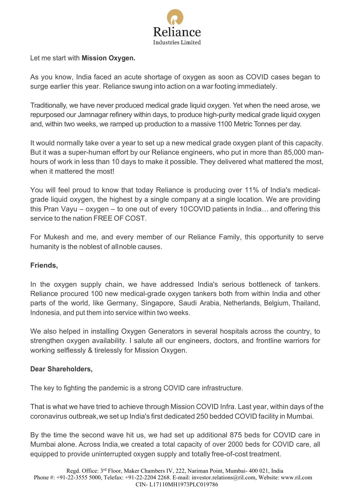

Let me start with **Mission Oxygen.**

As you know, India faced an acute shortage of oxygen as soon as COVID cases began to surge earlier this year. Reliance swung into action on a war footing immediately.

Traditionally, we have never produced medical grade liquid oxygen. Yet when the need arose, we repurposed our Jamnagar refinery within days, to produce high-purity medical grade liquid oxygen and, within two weeks, we ramped up production to a massive 1100 Metric Tonnes per day.

It would normally take over a year to set up a new medical grade oxygen plant of this capacity. But it was a super-human effort by our Reliance engineers, who put in more than 85,000 manhours of work in less than 10 days to make it possible. They delivered what mattered the most, when it mattered the most!

You will feel proud to know that today Reliance is producing over 11% of India's medicalgrade liquid oxygen, the highest by a single company at a single location. We are providing this Pran Vayu – oxygen – to one out of every 10COVID patients in India… and offering this service to the nation FREE OF COST.

For Mukesh and me, and every member of our Reliance Family, this opportunity to serve humanity is the noblest of allnoble causes.

# **Friends,**

In the oxygen supply chain, we have addressed India's serious bottleneck of tankers. Reliance procured 100 new medical-grade oxygen tankers both from within India and other parts of the world, like Germany, Singapore, Saudi Arabia, Netherlands, Belgium, Thailand, Indonesia, and put them into service within two weeks.

We also helped in installing Oxygen Generators in several hospitals across the country, to strengthen oxygen availability. I salute all our engineers, doctors, and frontline warriors for working selflessly & tirelessly for Mission Oxygen.

# **Dear Shareholders,**

The key to fighting the pandemic is a strong COVID care infrastructure.

That is what we have tried to achieve through Mission COVID Infra. Last year, within days of the coronavirus outbreak,we set up India's first dedicated 250 bedded COVID facility in Mumbai.

By the time the second wave hit us, we had set up additional 875 beds for COVID care in Mumbai alone. Across India,we created a total capacity of over 2000 beds for COVID care, all equipped to provide uninterrupted oxygen supply and totally free-of-cost treatment.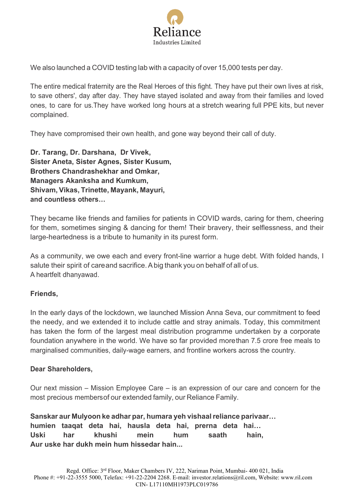

We also launched a COVID testing lab with a capacity of over 15,000 tests per day.

The entire medical fraternity are the Real Heroes of this fight. They have put their own lives at risk, to save others', day after day. They have stayed isolated and away from their families and loved ones, to care for us.They have worked long hours at a stretch wearing full PPE kits, but never complained.

They have compromised their own health, and gone way beyond their call of duty.

**Dr. Tarang, Dr. Darshana, Dr Vivek, Sister Aneta, Sister Agnes, Sister Kusum, Brothers Chandrashekhar and Omkar, Managers Akanksha and Kumkum, Shivam, Vikas, Trinette, Mayank, Mayuri, and countless others…**

They became like friends and families for patients in COVID wards, caring for them, cheering for them, sometimes singing & dancing for them! Their bravery, their selflessness, and their large-heartedness is a tribute to humanity in its purest form.

As a community, we owe each and every front-line warrior a huge debt. With folded hands, I salute their spirit of careand sacrifice. A big thank you on behalf of all of us. A heartfelt dhanyawad.

# **Friends,**

In the early days of the lockdown, we launched Mission Anna Seva, our commitment to feed the needy, and we extended it to include cattle and stray animals. Today, this commitment has taken the form of the largest meal distribution programme undertaken by a corporate foundation anywhere in the world. We have so far provided morethan 7.5 crore free meals to marginalised communities, daily-wage earners, and frontline workers across the country.

#### **Dear Shareholders,**

Our next mission – Mission Employee Care – is an expression of our care and concern for the most precious membersof our extended family, our Reliance Family.

**Sanskar aur Mulyoon ke adhar par, humara yeh vishaalreliance parivaar… humien taaqat deta hai, hausla deta hai, prerna deta hai… Uski har khushi mein hum saath hain, Aur uske har dukh mein hum hissedar hain...**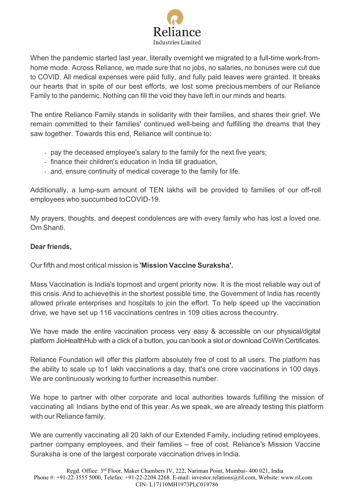

When the pandemic started last year, literally overnight we migrated to a full-time work-fromhome mode. Across Reliance, we made sure that no jobs, no salaries, no bonuses were cut due to COVID. All medical expenses were paid fully, and fully paid leaves were granted. It breaks our hearts that in spite of our best efforts, we lost some preciousmembers of our Reliance Family to the pandemic. Nothing can fill the void they have left in our minds and hearts.

The entire Reliance Family stands in solidarity with their families, and shares their grief. We remain committed to their families' continued well-being and fulfilling the dreams that they saw together. Towards this end, Reliance will continue to:

- pay the deceased employee's salary to the family for the next five years;
- finance their children's education in India till graduation,
- and, ensure continuity of medical coverage to the family for life.

Additionally, a lump-sum amount of TEN lakhs will be provided to families of our off-roll employees who succumbed toCOVID-19.

My prayers, thoughts, and deepest condolences are with every family who has lost a loved one. Om Shanti.

# **Dear friends,**

Our fifth and most critical mission is **'Mission Vaccine Suraksha'.**

Mass Vaccination is India's topmost and urgent priority now. It is the most reliable way out of this crisis. And to achievethis in the shortest possible time, the Government of India has recently allowed private enterprises and hospitals to join the effort. To help speed up the vaccination drive, we have set up 116 vaccinations centres in 109 cities across thecountry.

We have made the entire vaccination process very easy & accessible on our physical/digital platform JioHealthHub with a click of a button, you can book a slot or download CoWin Certificates.

Reliance Foundation will offer this platform absolutely free of cost to all users. The platform has the ability to scale up to1 lakh vaccinations a day, that's one crore vaccinations in 100 days. We are continuously working to further increasethis number.

We hope to partner with other corporate and local authorities towards fulfilling the mission of vaccinating all Indians bythe end of this year. As we speak, we are already testing this platform with our Reliance family.

We are currently vaccinating all 20 lakh of our Extended Family, including retired employees, partner company employees, and their families – free of cost. Reliance's Mission Vaccine Suraksha is one of the largest corporate vaccination drives in India.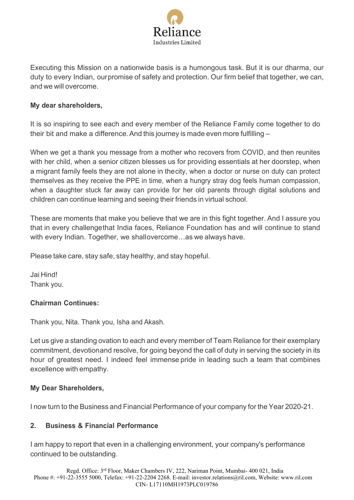

Executing this Mission on a nationwide basis is a humongous task. But it is our dharma, our duty to every Indian, ourpromise of safety and protection. Our firm belief that together, we can, and we will overcome.

### **My dear shareholders,**

It is so inspiring to see each and every member of the Reliance Family come together to do their bit and make a difference. And this journey is made even more fulfilling -

When we get a thank you message from a mother who recovers from COVID, and then reunites with her child, when a senior citizen blesses us for providing essentials at her doorstep, when a migrant family feels they are not alone in thecity, when a doctor or nurse on duty can protect themselves as they receive the PPE in time, when a hungry stray dog feels human compassion, when a daughter stuck far away can provide for her old parents through digital solutions and children can continue learning and seeing their friends in virtual school.

These are moments that make you believe that we are in this fight together. And I assure you that in every challengethat India faces, Reliance Foundation has and will continue to stand with every Indian. Together, we shallovercome…as we always have.

Please take care, stay safe, stay healthy, and stay hopeful.

Jai Hind! Thank you.

# **Chairman Continues:**

Thank you, Nita. Thank you, Isha and Akash.

Let us give a standing ovation to each and every member of Team Reliance for their exemplary commitment, devotionand resolve, for going beyond the call of duty in serving the society in its hour of greatest need. I indeed feel immense pride in leading such a team that combines excellence with empathy.

#### **My Dear Shareholders,**

I now turn to the Business and Financial Performance of your company for the Year 2020-21.

# **2. Business & Financial Performance**

I am happy to report that even in a challenging environment, your company's performance continued to be outstanding.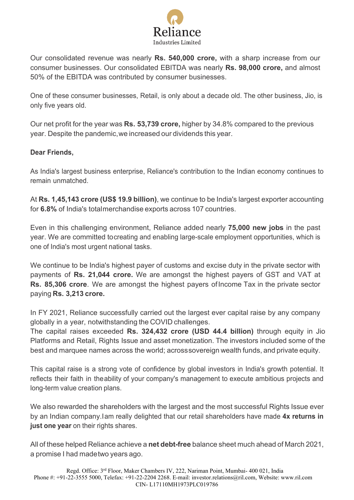

Our consolidated revenue was nearly **Rs. 540,000 crore,** with a sharp increase from our consumer businesses. Our consolidated EBITDA was nearly **Rs. 98,000 crore,** and almost 50% of the EBITDA was contributed by consumer businesses.

One of these consumer businesses, Retail, is only about a decade old. The other business, Jio, is only five years old.

Our net profit for the year was **Rs. 53,739 crore,** higher by 34.8% compared to the previous year. Despite the pandemic,we increased our dividends this year.

# **Dear Friends,**

As India's largest business enterprise, Reliance's contribution to the Indian economy continues to remain unmatched.

At **Rs. 1,45,143 crore (US\$ 19.9 billion)**, we continue to be India's largest exporter accounting for **6.8%** of India's totalmerchandise exports across 107 countries.

Even in this challenging environment, Reliance added nearly **75,000 new jobs** in the past year. We are committed tocreating and enabling large-scale employment opportunities, which is one of India's most urgent national tasks.

We continue to be India's highest payer of customs and excise duty in the private sector with payments of **Rs. 21,044 crore.** We are amongst the highest payers of GST and VAT at **Rs. 85,306 crore**. We are amongst the highest payers ofIncome Tax in the private sector paying **Rs. 3,213 crore.**

In FY 2021, Reliance successfully carried out the largest ever capital raise by any company globally in a year, notwithstanding the COVID challenges.

The capital raises exceeded **Rs. 324,432 crore (USD 44.4 billion)** through equity in Jio Platforms and Retail, Rights Issue and asset monetization. The investors included some of the best and marquee names across the world; acrosssovereign wealth funds, and private equity.

This capital raise is a strong vote of confidence by global investors in India's growth potential. It reflects their faith in theability of your company's management to execute ambitious projects and long-term value creation plans.

We also rewarded the shareholders with the largest and the most successful Rights Issue ever by an Indian company.Iam really delighted that our retail shareholders have made **4x returns in just one year** on their rights shares.

All of these helped Reliance achieve a **net debt-free** balance sheet much ahead of March 2021, a promise I had madetwo years ago.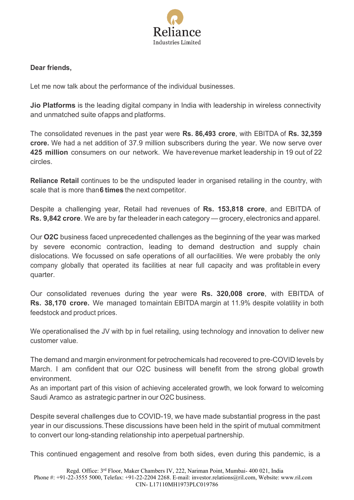

### **Dear friends,**

Let me now talk about the performance of the individual businesses.

**Jio Platforms** is the leading digital company in India with leadership in wireless connectivity and unmatched suite ofapps and platforms.

The consolidated revenues in the past year were **Rs. 86,493 crore**, with EBITDA of **Rs. 32,359 crore.** We had a net addition of 37.9 million subscribers during the year. We now serve over **425 million** consumers on our network. We haverevenue market leadership in 19 out of 22 circles.

**Reliance Retail** continues to be the undisputed leader in organised retailing in the country, with scale that is more than**6 times** the next competitor.

Despite a challenging year, Retail had revenues of **Rs. 153,818 crore**, and EBITDA of **Rs. 9,842 crore**. We are by far theleaderin each category —grocery, electronics and apparel.

Our **O2C** business faced unprecedented challenges as the beginning of the year was marked by severe economic contraction, leading to demand destruction and supply chain dislocations. We focussed on safe operations of all ourfacilities. We were probably the only company globally that operated its facilities at near full capacity and was profitable in every quarter.

Our consolidated revenues during the year were **Rs. 320,008 crore**, with EBITDA of **Rs. 38,170 crore.** We managed tomaintain EBITDA margin at 11.9% despite volatility in both feedstock and product prices.

We operationalised the JV with bp in fuel retailing, using technology and innovation to deliver new customer value.

The demand and margin environment for petrochemicals had recovered to pre-COVID levels by March. I am confident that our O2C business will benefit from the strong global growth environment.

As an important part of this vision of achieving accelerated growth, we look forward to welcoming Saudi Aramco as astrategic partner in our O2C business.

Despite several challenges due to COVID-19, we have made substantial progress in the past year in our discussions.These discussions have been held in the spirit of mutual commitment to convert our long-standing relationship into aperpetual partnership.

This continued engagement and resolve from both sides, even during this pandemic, is a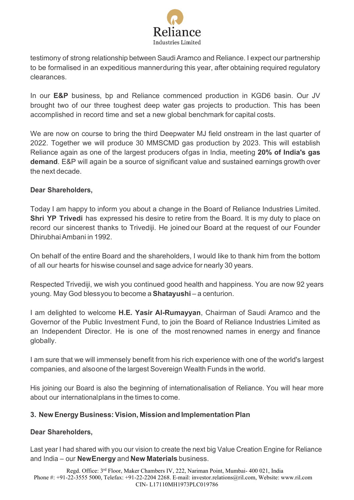

testimony of strong relationship between SaudiAramco and Reliance. I expect our partnership to be formalised in an expeditious mannerduring this year, after obtaining required regulatory clearances.

In our **E&P** business, bp and Reliance commenced production in KGD6 basin. Our JV brought two of our three toughest deep water gas projects to production. This has been accomplished in record time and set a new global benchmark for capital costs.

We are now on course to bring the third Deepwater MJ field onstream in the last quarter of 2022. Together we will produce 30 MMSCMD gas production by 2023. This will establish Reliance again as one of the largest producers ofgas in India, meeting **20% of India's gas demand**. E&P will again be a source of significant value and sustained earnings growth over the next decade.

### **Dear Shareholders,**

Today I am happy to inform you about a change in the Board of Reliance Industries Limited. **Shri YP Trivedi** has expressed his desire to retire from the Board. It is my duty to place on record our sincerest thanks to Trivediji. He joined our Board at the request of our Founder DhirubhaiAmbani in 1992.

On behalf of the entire Board and the shareholders, I would like to thank him from the bottom of all our hearts for hiswise counsel and sage advice for nearly 30 years.

Respected Trivediji, we wish you continued good health and happiness. You are now 92 years young. May God blessyou to become a **Shatayushi** – a centurion.

I am delighted to welcome **H.E. Yasir Al-Rumayyan**, Chairman of Saudi Aramco and the Governor of the Public Investment Fund, to join the Board of Reliance Industries Limited as an Independent Director. He is one of the most renowned names in energy and finance globally.

I am sure that we will immensely benefit from his rich experience with one of the world's largest companies, and alsoone of the largest Sovereign Wealth Funds in the world.

His joining our Board is also the beginning of internationalisation of Reliance. You will hear more about our internationalplans in the times to come.

# **3. New Energy Business: Vision, Mission and Implementation Plan**

# **Dear Shareholders,**

Last year I had shared with you our vision to create the next big Value Creation Engine for Reliance and India – our **NewEnergy** and **New Materials** business.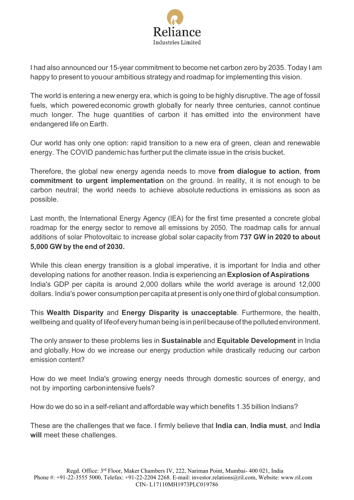

I had also announced our 15-year commitment to become net carbon zero by 2035. Today I am happy to present to youour ambitious strategy and roadmap for implementing this vision.

The world is entering a new energy era, which is going to be highly disruptive. The age of fossil fuels, which powered economic growth globally for nearly three centuries, cannot continue much longer. The huge quantities of carbon it has emitted into the environment have endangered life on Earth.

Our world has only one option: rapid transition to a new era of green, clean and renewable energy. The COVID pandemic has further put the climate issue in the crisis bucket.

Therefore, the global new energy agenda needs to move **from dialogue to action**, **from commitment to urgent implementation** on the ground. In reality, it is not enough to be carbon neutral; the world needs to achieve absolute reductions in emissions as soon as possible.

Last month, the International Energy Agency (IEA) for the first time presented a concrete global roadmap for the energy sector to remove all emissions by 2050. The roadmap calls for annual additions of solar Photovoltaic to increase global solar capacity from **737 GW in 2020 to about 5,000 GW by the end of 2030.**

While this clean energy transition is a global imperative, it is important for India and other developing nations for another reason. India is experiencing an **Explosion of Aspirations** India's GDP per capita is around 2,000 dollars while the world average is around 12,000 dollars. India's power consumption per capitaat present is only one third of global consumption.

This **Wealth Disparity** and **Energy Disparity is unacceptable**. Furthermore, the health, wellbeing and quality of lifeof every human being is inperil because of the polluted environment.

The only answer to these problems lies in **Sustainable** and **Equitable Development** in India and globally.How do we increase our energy production while drastically reducing our carbon emission content?

How do we meet India's growing energy needs through domestic sources of energy, and not by importing carbonintensive fuels?

How do we do so in a self-reliant and affordable way which benefits 1.35 billion Indians?

These are the challenges that we face. I firmly believe that **India can**, **India must**, and **India will** meet these challenges.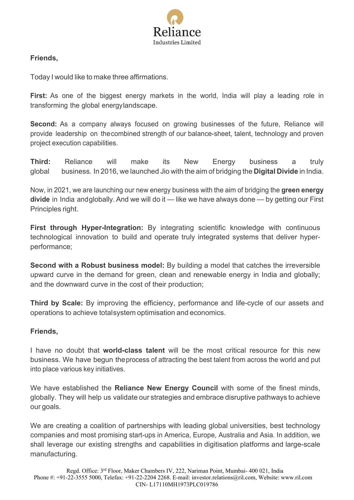

# **Friends,**

Today I would like to make three affirmations.

**First:** As one of the biggest energy markets in the world, India will play a leading role in transforming the global energylandscape.

**Second:** As a company always focused on growing businesses of the future, Reliance will provide leadership on thecombined strength of our balance-sheet, talent, technology and proven project execution capabilities.

**Third:** Reliance will make its New Energy business a truly global business. In 2016, we launched Jio with the aim of bridging the **Digital Divide** in India.

Now, in 2021, we are launching our new energy business with the aim of bridging the **green energy divide** in India andglobally. And we will do it — like we have always done — by getting our First Principles right.

**First through Hyper-Integration:** By integrating scientific knowledge with continuous technological innovation to build and operate truly integrated systems that deliver hyperperformance;

**Second with a Robust business model:** By building a model that catches the irreversible upward curve in the demand for green, clean and renewable energy in India and globally; and the downward curve in the cost of their production;

**Third by Scale:** By improving the efficiency, performance and life-cycle of our assets and operations to achieve totalsystem optimisation and economics.

# **Friends,**

I have no doubt that **world-class talent** will be the most critical resource for this new business. We have begun theprocess of attracting the best talent from across the world and put into place various key initiatives.

We have established the **Reliance New Energy Council** with some of the finest minds, globally. They will help us validate our strategies and embrace disruptive pathways to achieve our goals.

We are creating a coalition of partnerships with leading global universities, best technology companies and most promising start-ups in America, Europe, Australia and Asia. In addition, we shall leverage our existing strengths and capabilities in digitisation platforms and large-scale manufacturing.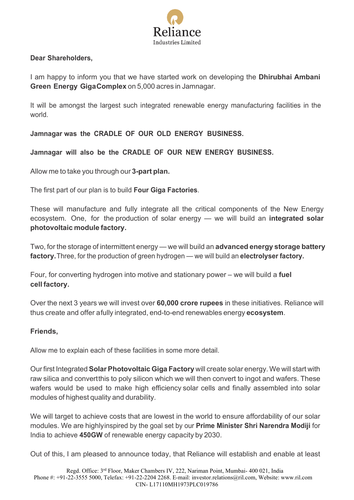

### **Dear Shareholders,**

I am happy to inform you that we have started work on developing the **Dhirubhai Ambani Green Energy GigaComplex** on 5,000 acres in Jamnagar.

It will be amongst the largest such integrated renewable energy manufacturing facilities in the world.

**Jamnagar was the CRADLE OF OUR OLD ENERGY BUSINESS.**

**Jamnagar will also be the CRADLE OF OUR NEW ENERGY BUSINESS.**

Allow me to take you through our **3-part plan.**

The first part of our plan is to build **Four Giga Factories**.

These will manufacture and fully integrate all the critical components of the New Energy ecosystem. One, for the production of solar energy — we will build an **integrated solar photovoltaic module factory.**

Two, for the storage of intermittent energy — we will build an **advanced energy storage battery factory.**Three, for the production of green hydrogen — we will build an **electrolyser factory.**

Four, for converting hydrogen into motive and stationary power – we will build a **fuel cell factory.**

Over the next 3 years we will invest over **60,000 crore rupees** in these initiatives. Reliance will thus create and offer afully integrated, end-to-end renewables energy **ecosystem**.

#### **Friends,**

Allow me to explain each of these facilities in some more detail.

Our first Integrated**SolarPhotovoltaic Giga Factory** will create solar energy. We will start with raw silica and convertthis to poly silicon which we will then convert to ingot and wafers. These wafers would be used to make high efficiency solar cells and finally assembled into solar modules of highest quality and durability.

We will target to achieve costs that are lowest in the world to ensure affordability of our solar modules. We are highlyinspired by the goal set by our **Prime Minister Shri Narendra Modiji** for India to achieve **450GW** of renewable energy capacity by 2030.

Out of this, I am pleased to announce today, that Reliance will establish and enable at least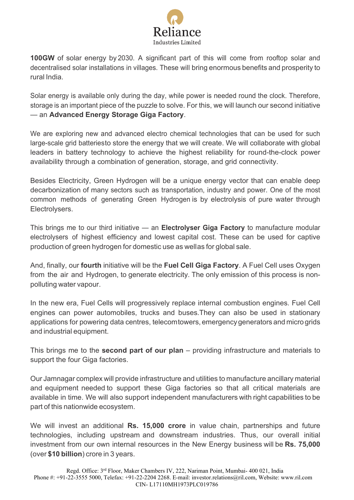

**100GW** of solar energy by 2030. A significant part of this will come from rooftop solar and decentralised solar installations in villages. These will bring enormous benefits and prosperity to rural India.

Solar energy is available only during the day, while power is needed round the clock. Therefore, storage is an important piece of the puzzle to solve. For this, we will launch our second initiative — an **Advanced Energy Storage Giga Factory**.

We are exploring new and advanced electro chemical technologies that can be used for such large-scale grid batteriesto store the energy that we will create. We will collaborate with global leaders in battery technology to achieve the highest reliability for round-the-clock power availability through a combination of generation, storage, and grid connectivity.

Besides Electricity, Green Hydrogen will be a unique energy vector that can enable deep decarbonization of many sectors such as transportation, industry and power. One of the most common methods of generating Green Hydrogen is by electrolysis of pure water through Electrolysers.

This brings me to our third initiative — an **Electrolyser Giga Factory** to manufacture modular electrolysers of highest efficiency and lowest capital cost. These can be used for captive production of green hydrogen for domestic use as wellas for global sale.

And, finally, our **fourth** initiative will be the **Fuel Cell Giga Factory**. A Fuel Cell uses Oxygen from the air and Hydrogen, to generate electricity. The only emission of this process is nonpolluting water vapour.

In the new era, Fuel Cells will progressively replace internal combustion engines. Fuel Cell engines can power automobiles, trucks and buses.They can also be used in stationary applications for powering data centres, telecomtowers, emergency generators and micro grids and industrial equipment.

This brings me to the **second part of our plan** – providing infrastructure and materials to support the four Giga factories.

Our Jamnagar complex will provide infrastructure and utilities to manufacture ancillary material and equipment needed to support these Giga factories so that all critical materials are available in time. We will also support independent manufacturers with right capabilities to be part of this nationwide ecosystem.

We will invest an additional **Rs. 15,000 crore** in value chain, partnerships and future technologies, including upstream and downstream industries. Thus, our overall initial investment from our own internal resources in the New Energy business will be **Rs. 75,000** (over **\$10 billion**) crore in 3 years.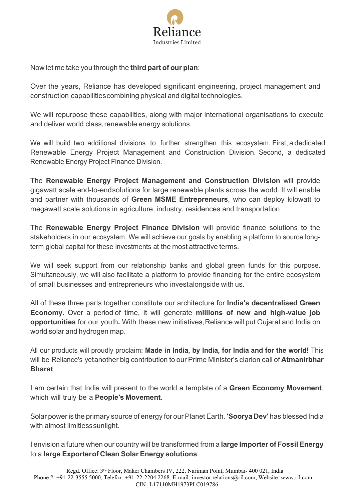

Now let me take you through the **third part of our plan**:

Over the years, Reliance has developed significant engineering, project management and construction capabilitiescombining physical and digital technologies.

We will repurpose these capabilities, along with major international organisations to execute and deliver world class, renewable energy solutions.

We will build two additional divisions to further strengthen this ecosystem. First, a dedicated Renewable Energy Project Management and Construction Division. Second, a dedicated Renewable Energy Project Finance Division.

The **Renewable Energy Project Management and Construction Division** will provide gigawatt scale end-to-endsolutions for large renewable plants across the world. It will enable and partner with thousands of **Green MSME Entrepreneurs**, who can deploy kilowatt to megawatt scale solutions in agriculture, industry, residences and transportation.

The **Renewable Energy Project Finance Division** will provide finance solutions to the stakeholders in our ecosystem. We will achieve our goals by enabling a platform to source longterm global capital for these investments at the most attractive terms.

We will seek support from our relationship banks and global green funds for this purpose. Simultaneously, we will also facilitate a platform to provide financing for the entire ecosystem of small businesses and entrepreneurs who investalongside with us.

All of these three parts together constitute our architecture for **India's decentralised Green Economy.** Over a period of time, it will generate **millions of new and high-value job opportunities** for our youth**.** With these new initiatives,Reliance will put Gujarat and India on world solar and hydrogen map.

All our products will proudly proclaim: **Made in India, by India, for India and for the world!** This will be Reliance's yetanother big contribution to our Prime Minister's clarion call of **Atmanirbhar Bharat**.

I am certain that India will present to the world a template of a **Green Economy Movement**, which will truly be a **People's Movement**.

Solar power is the primary source of energy for our Planet Earth. **'Soorya Dev'** has blessed India with almost limitlesssunlight.

I envision a future when our country will be transformed from a **large Importer of Fossil Energy** to a **large Exporterof Clean Solar Energy solutions**.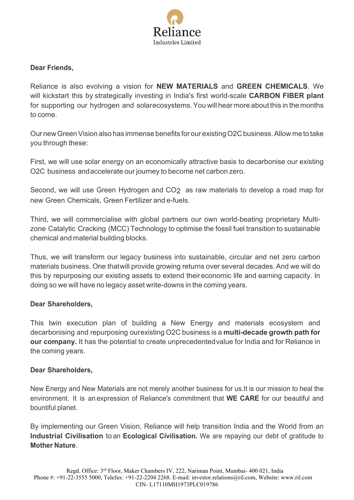

#### **Dear Friends,**

Reliance is also evolving a vision for **NEW MATERIALS** and **GREEN CHEMICALS**. We will kickstart this by strategically investing in India's first world-scale **CARBON FIBER plant** for supporting our hydrogen and solarecosystems.You will hear more about this in the months to come.

Our newGreenVision also has immense benefits for our existingO2C business.Allow me to take you through these:

First, we will use solar energy on an economically attractive basis to decarbonise our existing O2C business andaccelerate our journey to become net carbon zero.

Second, we will use Green Hydrogen and CO<sub>2</sub> as raw materials to develop a road map for new Green Chemicals, Green Fertilizer and e-fuels.

Third, we will commercialise with global partners our own world-beating proprietary Multizone Catalytic Cracking (MCC) Technology to optimise the fossil fuel transition to sustainable chemical and material building blocks.

Thus, we will transform our legacy business into sustainable, circular and net zero carbon materials business. One thatwill provide growing returns over several decades.And we will do this by repurposing our existing assets to extend theireconomic life and earning capacity. In doing so we will have no legacy asset write-downs in the coming years.

#### **Dear Shareholders,**

This twin execution plan of building a New Energy and materials ecosystem and decarbonising and repurposing ourexisting O2C business is a **multi-decade growth path for our company.** It has the potential to create unprecedentedvalue for India and for Reliance in the coming years.

#### **Dear Shareholders,**

New Energy and New Materials are not merely another business for us.It is our mission to heal the environment. It is an expression of Reliance's commitment that **WE CARE** for our beautiful and bountiful planet.

By implementing our Green Vision, Reliance will help transition India and the World from an **Industrial Civilisation** to an **Ecological Civilisation.** We are repaying our debt of gratitude to **Mother Nature**.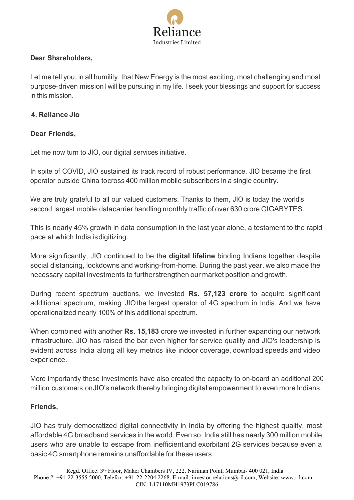

# **Dear Shareholders,**

Let me tell you, in all humility, that New Energy is the most exciting, most challenging and most purpose-driven missionI will be pursuing in my life. I seek your blessings and support for success in this mission.

# **4. Reliance Jio**

# **Dear Friends,**

Let me now turn to JIO, our digital services initiative.

In spite of COVID, JIO sustained its track record of robust performance. JIO became the first operator outside China tocross 400 million mobile subscribers in a single country.

We are truly grateful to all our valued customers. Thanks to them, JIO is today the world's second largest mobile datacarrier handling monthly traffic of over 630 crore GIGABYTES.

This is nearly 45% growth in data consumption in the last year alone, a testament to the rapid pace at which India isdigitizing.

More significantly, JIO continued to be the **digital lifeline** binding Indians together despite social distancing, lockdowns and working-from-home. During the past year, we also made the necessary capital investments to furtherstrengthen our market position and growth.

During recent spectrum auctions, we invested **Rs. 57,123 crore** to acquire significant additional spectrum, making JIOthe largest operator of 4G spectrum in India. And we have operationalized nearly 100% of this additional spectrum.

When combined with another **Rs. 15,183** crore we invested in further expanding our network infrastructure, JIO has raised the bar even higher for service quality and JIO's leadership is evident across India along all key metrics like indoor coverage, download speeds and video experience.

More importantly these investments have also created the capacity to on-board an additional 200 million customers onJIO's network thereby bringing digital empowerment to even more Indians.

# **Friends,**

JIO has truly democratized digital connectivity in India by offering the highest quality, most affordable 4G broadband services in the world. Even so, India still has nearly 300 million mobile users who are unable to escape from inefficientand exorbitant 2G services because even a basic 4G smartphone remains unaffordable for these users.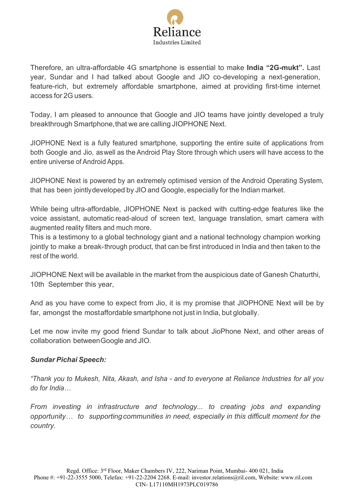

Therefore, an ultra-affordable 4G smartphone is essential to make **India "2G-mukt".** Last year, Sundar and I had talked about Google and JIO co-developing a next-generation, feature-rich, but extremely affordable smartphone, aimed at providing first-time internet access for 2G users.

Today, I am pleased to announce that Google and JIO teams have jointly developed a truly breakthrough Smartphone, that we are calling JIOPHONE Next.

JIOPHONE Next is a fully featured smartphone, supporting the entire suite of applications from both Google and Jio, aswell as the Android Play Store through which users will have access to the entire universe of Android Apps.

JIOPHONE Next is powered by an extremely optimised version of the Android Operating System, that has been jointlydeveloped by JIO and Google, especially for the Indian market.

While being ultra-affordable, JIOPHONE Next is packed with cutting-edge features like the voice assistant, automatic read-aloud of screen text, language translation, smart camera with augmented reality filters and much more.

This is a testimony to a global technology giant and a national technology champion working jointly to make a break-through product, that can be first introduced in India and then taken to the rest of the world.

JIOPHONE Next will be available in the market from the auspicious date of Ganesh Chaturthi, 10th September this year,

And as you have come to expect from Jio, it is my promise that JIOPHONE Next will be by far, amongst the mostaffordable smartphone not just in India, but globally.

Let me now invite my good friend Sundar to talk about JioPhone Next, and other areas of collaboration betweenGoogle and JIO.

# *Sundar Pichai Speech:*

*"Thank you to Mukesh, Nita, Akash, and Isha - and to everyone at Reliance Industries for all you do for India…*

*From investing in infrastructure and technology... to creating jobs and expanding opportunity… to supportingcommunities in need, especially in this difficult moment for the country.*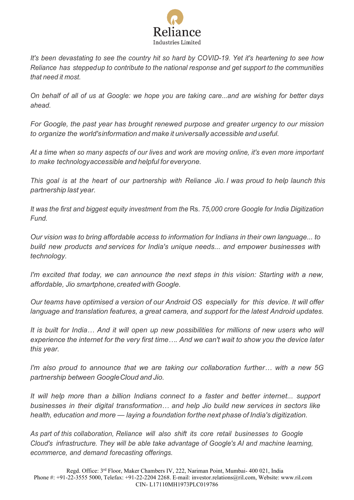

*It's been devastating to see the country hit so hard by COVID-19. Yet it's heartening to see how Reliance has steppedup to contribute to the national response and get support to the communities that need it most.*

*On behalf of all of us at Google: we hope you are taking care...and are wishing for better days ahead.*

*For Google, the past year has brought renewed purpose and greater urgency to our mission to organize the world'sinformation and make it universally accessible and useful.*

At a time when so many aspects of our lives and work are moving online, it's even more important *to make technologyaccessible and helpful for everyone.*

*This goal is at the heart of our partnership with Reliance Jio. I was proud to help launch this partnership last year.*

*It was the first and biggest equity investment from the* Rs. *75,000 crore Google for India Digitization Fund.*

*Our vision was to bring affordable access to information for Indians in their own language... to build new products and services for India's unique needs... and empower businesses with technology.*

*I'm excited that today, we can announce the next steps in this vision: Starting with a new, affordable, Jio smartphone,created with Google.*

*Our teams have optimised a version of our Android OS especially for this device. It will offer language and translation features, a great camera, and support for the latest Android updates.*

*It is built for India… And it will open up new possibilities for millions of new users who will experience the internet for the very first time…. And we can't wait to show you the device later this year.*

*I'm also proud to announce that we are taking our collaboration further… with a new 5G partnership between GoogleCloud and Jio.*

*It will help more than a billion Indians connect to a faster and better internet... support businesses in their digital transformation… and help Jio build new services in sectors like health, education and more — laying a foundation forthe next phase of India's digitization.*

*As part of this collaboration, Reliance will also shift its core retail businesses to Google Cloud's infrastructure. They will be able take advantage of Google's AI and machine learning, ecommerce, and demand forecasting offerings.*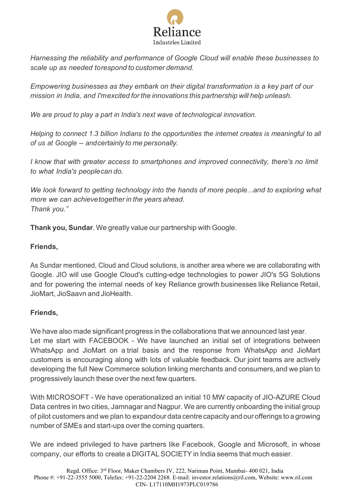

*Harnessing the reliability and performance of Google Cloud will enable these businesses to scale up as needed torespond to customer demand.*

*Empowering businesses as they embark on their digital transformation is a key part of our mission in India, and I'mexcited for the innovations this partnership will help unleash.*

*We are proud to play a part in India's next wave of technological innovation.*

*Helping to connect 1.3 billion Indians to the opportunities the internet creates is meaningful to all of us at Google -- andcertainly to me personally.*

*I know that with greater access to smartphones and improved connectivity, there's no limit to what India's peoplecan do.*

*We look forward to getting technology into the hands of more people...and to exploring what more we can achievetogether in the years ahead. Thank you."*

**Thank you, Sundar**. We greatly value our partnership with Google.

# **Friends,**

As Sundar mentioned, Cloud and Cloud solutions, is another area where we are collaborating with Google. JIO will use Google Cloud's cutting-edge technologies to power JIO's 5G Solutions and for powering the internal needs of key Reliance growth businesses like Reliance Retail, JioMart, JioSaavn and JioHealth.

# **Friends,**

We have also made significant progress in the collaborations that we announced last year. Let me start with FACEBOOK - We have launched an initial set of integrations between WhatsApp and JioMart on a trial basis and the response from WhatsApp and JioMart customers is encouraging along with lots of valuable feedback. Our joint teams are actively developing the full New Commerce solution linking merchants and consumers,and we plan to progressively launch these over the next few quarters.

With MICROSOFT - We have operationalized an initial 10 MW capacity of JIO-AZURE Cloud Data centres in two cities, Jamnagar and Nagpur. We are currently onboarding the initial group of pilot customers and we plan to expandour data centre capacity and our offerings to a growing number of SMEs and start-ups over the coming quarters.

We are indeed privileged to have partners like Facebook, Google and Microsoft, in whose company, our efforts to create a DIGITALSOCIETY in India seems that much easier.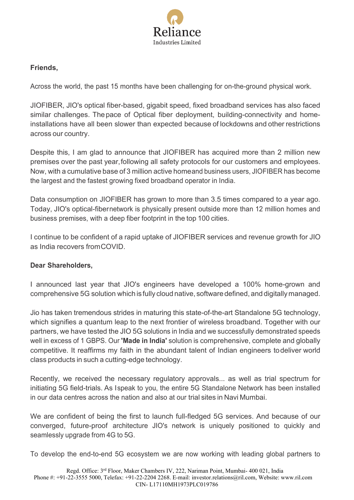

# **Friends,**

Across the world, the past 15 months have been challenging for on-the-ground physical work.

JIOFIBER, JIO's optical fiber-based, gigabit speed, fixed broadband services has also faced similar challenges. Thepace of Optical fiber deployment, building-connectivity and homeinstallations have all been slower than expected because of lockdowns and other restrictions across our country.

Despite this, I am glad to announce that JIOFIBER has acquired more than 2 million new premises over the past year,following all safety protocols for our customers and employees. Now, with a cumulative base of 3 million active homeand business users, JIOFIBER has become the largest and the fastest growing fixed broadband operator in India.

Data consumption on JIOFIBER has grown to more than 3.5 times compared to a year ago. Today, JIO's optical-fibernetwork is physically present outside more than 12 million homes and business premises, with a deep fiber footprint in the top 100 cities.

I continue to be confident of a rapid uptake of JIOFIBER services and revenue growth for JIO as India recovers fromCOVID.

# **Dear Shareholders,**

I announced last year that JIO's engineers have developed a 100% home-grown and comprehensive 5G solution which is fully cloud native, software defined, and digitally managed.

Jio has taken tremendous strides in maturing this state-of-the-art Standalone 5G technology, which signifies a quantum leap to the next frontier of wireless broadband. Together with our partners, we have tested the JIO 5G solutions in India and we successfully demonstrated speeds well in excess of 1 GBPS. Our **'Made in India'** solution is comprehensive, complete and globally competitive. It reaffirms my faith in the abundant talent of Indian engineers todeliver world class products in such a cutting-edge technology.

Recently, we received the necessary regulatory approvals... as well as trial spectrum for initiating 5G field-trials. As Ispeak to you, the entire 5G Standalone Network has been installed in our data centres across the nation and also at our trial sites in Navi Mumbai.

We are confident of being the first to launch full-fledged 5G services. And because of our converged, future-proof architecture JIO's network is uniquely positioned to quickly and seamlessly upgrade from 4G to 5G.

To develop the end-to-end 5G ecosystem we are now working with leading global partners to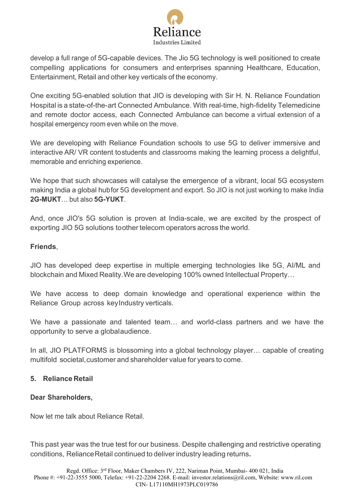

develop a full range of 5G-capable devices. The Jio 5G technology is well positioned to create compelling applications for consumers and enterprises spanning Healthcare, Education, Entertainment, Retail and other key verticals of the economy.

One exciting 5G-enabled solution that JIO is developing with Sir H. N. Reliance Foundation Hospital is a state-of-the-art Connected Ambulance. With real-time, high-fidelity Telemedicine and remote doctor access, each Connected Ambulance can become a virtual extension of a hospital emergency room even while on the move.

We are developing with Reliance Foundation schools to use 5G to deliver immersive and interactive AR/ VR content tostudents and classrooms making the learning process a delightful, memorable and enriching experience.

We hope that such showcases will catalyse the emergence of a vibrant, local 5G ecosystem making India a global hubfor 5G development and export. So JIO is not just working to make India **2G-MUKT**… but also **5G-YUKT**.

And, once JIO's 5G solution is proven at India-scale, we are excited by the prospect of exporting JIO 5G solutions toother telecom operators across the world.

# **Friends**,

JIO has developed deep expertise in multiple emerging technologies like 5G, AI/ML and blockchain and Mixed Reality.We are developing 100% owned Intellectual Property…

We have access to deep domain knowledge and operational experience within the Reliance Group across keyIndustry verticals.

We have a passionate and talented team… and world-class partners and we have the opportunity to serve a globalaudience.

In all, JIO PLATFORMS is blossoming into a global technology player… capable of creating multifold societal, customer and shareholder value for years to come.

# **5. Reliance Retail**

# **Dear Shareholders,**

Now let me talk about Reliance Retail.

This past year was the true test for our business. Despite challenging and restrictive operating conditions, RelianceRetail continued to deliver industry leading returns**.**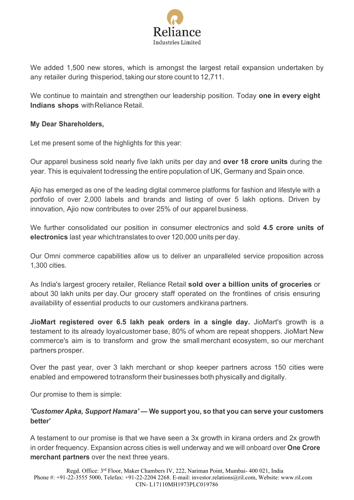

We added 1,500 new stores, which is amongst the largest retail expansion undertaken by any retailer during thisperiod, taking our store count to 12,711.

We continue to maintain and strengthen our leadership position. Today **one in every eight Indians shops** withReliance Retail.

### **My Dear Shareholders,**

Let me present some of the highlights for this year:

Our apparel business sold nearly five lakh units per day and **over 18 crore units** during the year. This is equivalent todressing the entire population of UK, Germany and Spain once.

Ajio has emerged as one of the leading digital commerce platforms for fashion and lifestyle with a portfolio of over 2,000 labels and brands and listing of over 5 lakh options. Driven by innovation, Ajio now contributes to over 25% of our apparel business.

We further consolidated our position in consumer electronics and sold **4.5 crore units of electronics** last year whichtranslates to over 120,000 units per day.

Our Omni commerce capabilities allow us to deliver an unparalleled service proposition across 1,300 cities.

As India's largest grocery retailer, Reliance Retail **sold over a billion units of groceries** or about 30 lakh units per day.Our grocery staff operated on the frontlines of crisis ensuring availability of essential products to our customers andkirana partners.

**JioMart registered over 6.5 lakh peak orders in a single day.** JioMart's growth is a testament to its already loyalcustomer base, 80% of whom are repeat shoppers. JioMart New commerce's aim is to transform and grow the small merchant ecosystem, so our merchant partners prosper.

Over the past year, over 3 lakh merchant or shop keeper partners across 150 cities were enabled and empowered totransform their businesses both physically and digitally.

Our promise to them is simple:

# *'Customer Apka, Support Hamara' —* **We support you, so that you can serve your customers better'**

A testament to our promise is that we have seen a 3x growth in kirana orders and 2x growth in order frequency. Expansion across cities is well underway and we will onboard over **One Crore merchant partners** over the next three years.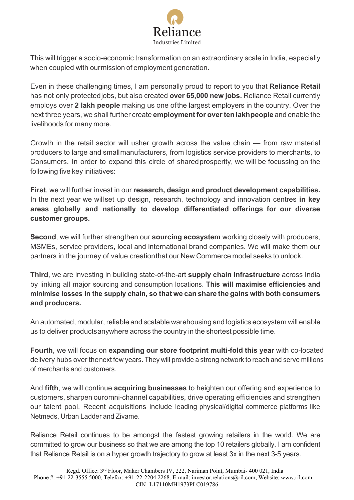

This will trigger a socio-economic transformation on an extraordinary scale in India, especially when coupled with ourmission of employment generation.

Even in these challenging times, I am personally proud to report to you that **Reliance Retail**  has not only protectedjobs, but also created **over 65,000 new jobs.** Reliance Retail currently employs over **2 lakh people** making us one ofthe largest employers in the country. Over the next three years, we shall further create **employment for overten lakhpeople** and enable the livelihoods for many more.

Growth in the retail sector will usher growth across the value chain — from raw material producers to large and smallmanufacturers, from logistics service providers to merchants, to Consumers. In order to expand this circle of sharedprosperity, we will be focussing on the following five key initiatives:

**First**, we will further invest in our **research, design and product development capabilities.** In the next year we willset up design, research, technology and innovation centres **in key areas globally and nationally to develop differentiated offerings for our diverse customer groups.**

**Second**, we will further strengthen our **sourcing ecosystem** working closely with producers, MSMEs, service providers, local and international brand companies. We will make them our partners in the journey of value creationthat our New Commerce model seeks to unlock.

**Third**, we are investing in building state-of-the-art **supply chain infrastructure** across India by linking all major sourcing and consumption locations. **This will maximise efficiencies and minimise losses in the supply chain, so that we can share the gains with both consumers and producers.**

An automated, modular, reliable and scalable warehousing and logistics ecosystem will enable us to deliver productsanywhere across the country in the shortest possible time.

**Fourth**, we will focus on **expanding our store footprint multi-fold this year** with co-located delivery hubs over thenext few years. They will provide a strong network to reach and serve millions of merchants and customers.

And **fifth**, we will continue **acquiring businesses** to heighten our offering and experience to customers, sharpen ouromni-channel capabilities, drive operating efficiencies and strengthen our talent pool. Recent acquisitions include leading physical/digital commerce platforms like Netmeds, Urban Ladder and Zivame.

Reliance Retail continues to be amongst the fastest growing retailers in the world. We are committed to grow our business so that we are among the top 10 retailers globally. I am confident that Reliance Retail is on a hyper growth trajectory to grow at least 3x in the next 3-5 years.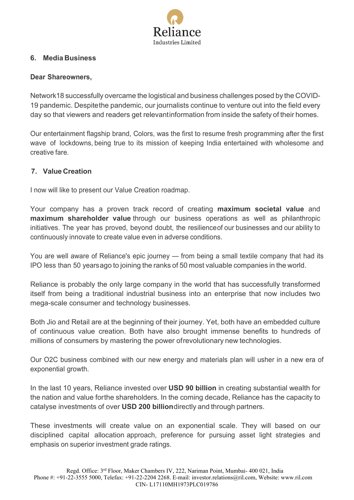

### **6. Media Business**

#### **Dear Shareowners,**

Network18 successfully overcame the logistical and business challenges posed by the COVID-19 pandemic. Despitethe pandemic, our journalists continue to venture out into the field every day so that viewers and readers get relevantinformation from inside the safety of their homes.

Our entertainment flagship brand, Colors, was the first to resume fresh programming after the first wave of lockdowns, being true to its mission of keeping India entertained with wholesome and creative fare.

### **7. Value Creation**

I now will like to present our Value Creation roadmap.

Your company has a proven track record of creating **maximum societal value** and **maximum shareholder value** through our business operations as well as philanthropic initiatives. The year has proved, beyond doubt, the resilienceof our businesses and our ability to continuously innovate to create value even in adverse conditions.

You are well aware of Reliance's epic journey — from being a small textile company that had its IPO less than 50 yearsago to joining the ranks of 50 most valuable companies in the world.

Reliance is probably the only large company in the world that has successfully transformed itself from being a traditional industrial business into an enterprise that now includes two mega-scale consumer and technology businesses.

Both Jio and Retail are at the beginning of their journey. Yet, both have an embedded culture of continuous value creation. Both have also brought immense benefits to hundreds of millions of consumers by mastering the power ofrevolutionary new technologies.

Our O2C business combined with our new energy and materials plan will usher in a new era of exponential growth.

In the last 10 years, Reliance invested over **USD 90 billion** in creating substantial wealth for the nation and value forthe shareholders. In the coming decade, Reliance has the capacity to catalyse investments of over **USD 200 billion**directly and through partners.

These investments will create value on an exponential scale. They will based on our disciplined capital allocation approach, preference for pursuing asset light strategies and emphasis on superior investment grade ratings.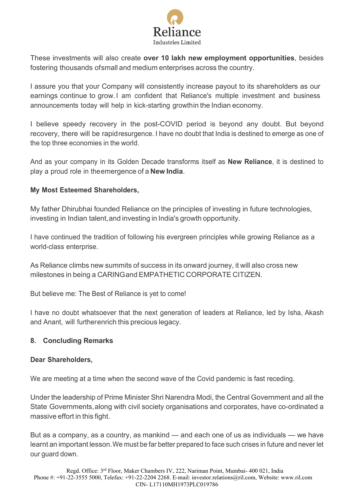

These investments will also create **over 10 lakh new employment opportunities**, besides fostering thousands ofsmall and medium enterprises across the country.

I assure you that your Company will consistently increase payout to its shareholders as our earnings continue to grow.I am confident that Reliance's multiple investment and business announcements today will help in kick-starting growthin the Indian economy.

I believe speedy recovery in the post-COVID period is beyond any doubt. But beyond recovery, there will be rapidresurgence. I have no doubt that India is destined to emerge as one of the top three economies in the world.

And as your company in its Golden Decade transforms itself as **New Reliance**, it is destined to play a proud role in theemergence of a **New India**.

# **My Most Esteemed Shareholders,**

My father Dhirubhai founded Reliance on the principles of investing in future technologies, investing in Indian talent,and investing in India's growth opportunity.

I have continued the tradition of following his evergreen principles while growing Reliance as a world-class enterprise.

As Reliance climbs new summits of success in its onward journey, it will also cross new milestones in being a CARINGand EMPATHETIC CORPORATE CITIZEN.

But believe me: The Best of Reliance is yet to come!

I have no doubt whatsoever that the next generation of leaders at Reliance, led by Isha, Akash and Anant, will furtherenrich this precious legacy.

# **8. Concluding Remarks**

# **Dear Shareholders,**

We are meeting at a time when the second wave of the Covid pandemic is fast receding.

Under the leadership of Prime Minister Shri Narendra Modi, the Central Government and all the State Governments,along with civil society organisations and corporates, have co-ordinated a massive effort in this fight.

But as a company, as a country, as mankind — and each one of us as individuals — we have learnt an important lesson.We must be far better prepared to face such crises in future and never let our guard down.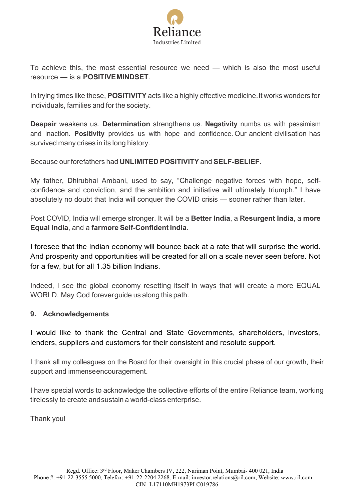

To achieve this, the most essential resource we need — which is also the most useful resource — is a **POSITIVEMINDSET**.

In trying times like these, **POSITIVITY** acts like a highly effective medicine.It works wonders for individuals, families and for the society.

**Despair** weakens us. **Determination** strengthens us. **Negativity** numbs us with pessimism and inaction. **Positivity** provides us with hope and confidence. Our ancient civilisation has survived many crises in its long history.

Because our forefathers had **UNLIMITED POSITIVITY** and **SELF-BELIEF**.

My father, Dhirubhai Ambani, used to say, "Challenge negative forces with hope, selfconfidence and conviction, and the ambition and initiative will ultimately triumph." I have absolutely no doubt that India will conquer the COVID crisis — sooner rather than later.

Post COVID, India will emerge stronger. It will be a **Better India**, a **Resurgent India**, a **more Equal India**, and a **farmore Self-Confident India**.

I foresee that the Indian economy will bounce back at a rate that will surprise the world. And prosperity and opportunities will be created for all on a scale never seen before. Not for a few, but for all 1.35 billion Indians.

Indeed, I see the global economy resetting itself in ways that will create a more EQUAL WORLD. May God foreverguide us along this path.

# **9. Acknowledgements**

I would like to thank the Central and State Governments, shareholders, investors, lenders, suppliers and customers for their consistent and resolute support.

I thank all my colleagues on the Board for their oversight in this crucial phase of our growth, their support and immenseencouragement.

I have special words to acknowledge the collective efforts of the entire Reliance team, working tirelessly to create andsustain a world-class enterprise.

Thank you!